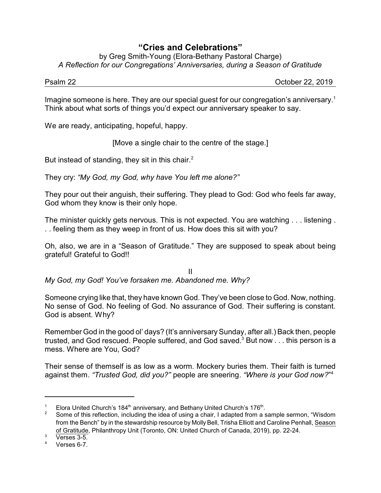## **"Cries and Celebrations"**

by Greg Smith-Young (Elora-Bethany Pastoral Charge) *A Reflection for our Congregations' Anniversaries, during a Season of Gratitude*

Psalm 22 October 22, 2019

Imagine someone is here. They are our special guest for our congregation's anniversary. 1 Think about what sorts of things you'd expect our anniversary speaker to say.

We are ready, anticipating, hopeful, happy.

[Move a single chair to the centre of the stage.]

But instead of standing, they sit in this chair. $^2$ 

They cry: *"My God, my God, why have You left me alone?"*

They pour out their anguish, their suffering. They plead to God: God who feels far away, God whom they know is their only hope.

The minister quickly gets nervous. This is not expected. You are watching . . . listening . . . feeling them as they weep in front of us. How does this sit with you?

Oh, also, we are in a "Season of Gratitude." They are supposed to speak about being grateful! Grateful to God!!

II *My God, my God! You've forsaken me. Abandoned me. Why?*

Someone crying like that, they have known God. They've been close to God. Now, nothing. No sense of God. No feeling of God. No assurance of God. Their suffering is constant. God is absent. Why?

Remember God in the good ol' days? (It's anniversary Sunday, after all.) Back then, people trusted, and God rescued. People suffered, and God saved.<sup>3</sup> But now  $\dots$  this person is a mess. Where are You, God?

Their sense of themself is as low as a worm. Mockery buries them. Their faith is turned against them. *"Trusted God, did you?"* people are sneering. *"Where is your God now?*" 4

<sup>&</sup>lt;sup>1</sup> Elora United Church's 184<sup>th</sup> anniversary, and Bethany United Church's 176<sup>th</sup>.

<sup>&</sup>lt;sup>2</sup> Some of this reflection, including the idea of using a chair, I adapted from a sample sermon, "Wisdom" from the Bench" by in the stewardship resource by Molly Bell, Trisha Elliott and Caroline Penhall, Season of Gratitude, Philanthropy Unit (Toronto, ON: United Church of Canada, 2019), pp. 22-24.

 $\frac{3}{4}$  Verses 3-5.

Verses 6-7.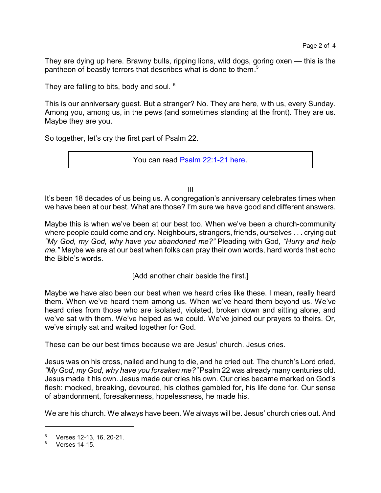They are dying up here. Brawny bulls, ripping lions, wild dogs, goring oxen — this is the pantheon of beastly terrors that describes what is done to them. 5

They are falling to bits, body and soul. <sup>6</sup>

This is our anniversary guest. But a stranger? No. They are here, with us, every Sunday. Among you, among us, in the pews (and sometimes standing at the front). They are us. Maybe they are you.

So together, let's cry the first part of Psalm 22.

You can read [Psalm 22:1-21 here](https://www.biblegateway.com/passage/?search=Psalm+22%3A1-21&version=CEB).

III

It's been 18 decades of us being us. A congregation's anniversary celebrates times when we have been at our best. What are those? I'm sure we have good and different answers.

Maybe this is when we've been at our best too. When we've been a church-community where people could come and cry. Neighbours, strangers, friends, ourselves . . . crying out *"My God, my God, why have you abandoned me?"* Pleading with God, *"Hurry and help me."* Maybe we are at our best when folks can pray their own words, hard words that echo the Bible's words.

[Add another chair beside the first.]

Maybe we have also been our best when we heard cries like these. I mean, really heard them. When we've heard them among us. When we've heard them beyond us. We've heard cries from those who are isolated, violated, broken down and sitting alone, and we've sat with them. We've helped as we could. We've joined our prayers to theirs. Or, we've simply sat and waited together for God.

These can be our best times because we are Jesus' church. Jesus cries.

Jesus was on his cross, nailed and hung to die, and he cried out. The church's Lord cried, *"My God, my God, why have you forsaken me?"* Psalm 22 was already many centuries old. Jesus made it his own. Jesus made our cries his own. Our cries became marked on God's flesh: mocked, breaking, devoured, his clothes gambled for, his life done for. Our sense of abandonment, foresakenness, hopelessness, he made his.

We are his church. We always have been. We always will be. Jesus' church cries out. And

 $^{5}$  Verses 12-13, 16, 20-21.

<sup>6</sup> Verses 14-15.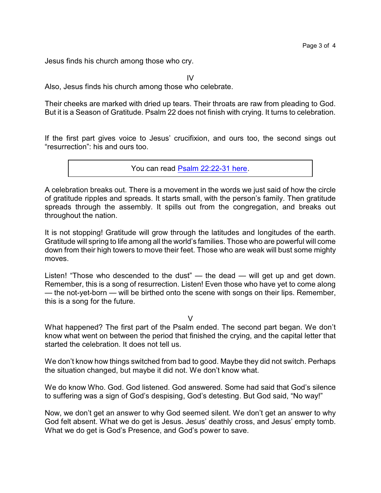Jesus finds his church among those who cry.

 $IV$ 

Also, Jesus finds his church among those who celebrate.

Their cheeks are marked with dried up tears. Their throats are raw from pleading to God. But it is a Season of Gratitude. Psalm 22 does not finish with crying. It turns to celebration.

If the first part gives voice to Jesus' crucifixion, and ours too, the second sings out "resurrection": his and ours too.

You can read [Psalm 22:22-31 here](https://www.biblegateway.com/passage/?search=Psalm+22%3A22-31&version=CEB).

A celebration breaks out. There is a movement in the words we just said of how the circle of gratitude ripples and spreads. It starts small, with the person's family. Then gratitude spreads through the assembly. It spills out from the congregation, and breaks out throughout the nation.

It is not stopping! Gratitude will grow through the latitudes and longitudes of the earth. Gratitude will spring to life among all the world's families. Those who are powerful will come down from their high towers to move their feet. Those who are weak will bust some mighty moves.

Listen! "Those who descended to the dust" — the dead — will get up and get down. Remember, this is a song of resurrection. Listen! Even those who have yet to come along — the not-yet-born — will be birthed onto the scene with songs on their lips. Remember, this is a song for the future.

## V

What happened? The first part of the Psalm ended. The second part began. We don't know what went on between the period that finished the crying, and the capital letter that started the celebration. It does not tell us.

We don't know how things switched from bad to good. Maybe they did not switch. Perhaps the situation changed, but maybe it did not. We don't know what.

We do know Who. God. God listened. God answered. Some had said that God's silence to suffering was a sign of God's despising, God's detesting. But God said, "No way!"

Now, we don't get an answer to why God seemed silent. We don't get an answer to why God felt absent. What we do get is Jesus. Jesus' deathly cross, and Jesus' empty tomb. What we do get is God's Presence, and God's power to save.